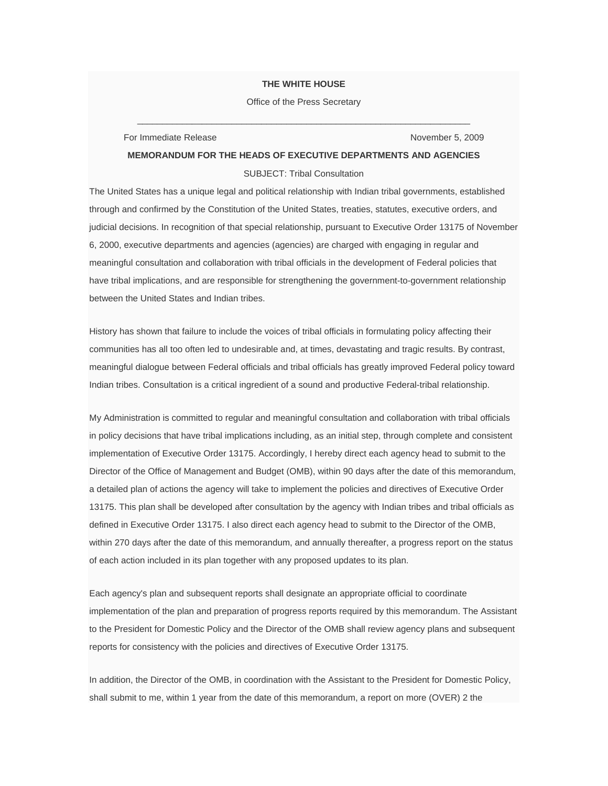## **THE WHITE HOUSE**

 $\overline{\phantom{a}}$  , and the contract of the contract of the contract of the contract of the contract of the contract of the contract of the contract of the contract of the contract of the contract of the contract of the contrac Office of the Press Secretary

\_\_\_\_\_\_\_\_\_\_\_\_\_\_\_\_\_\_\_\_\_\_\_\_\_\_\_\_\_\_\_\_\_\_\_\_\_\_\_\_\_\_\_\_

## For Immediate Release November 5, 2009

## **MEMORANDUM FOR THE HEADS OF EXECUTIVE DEPARTMENTS AND AGENCIES**

SUBJECT: Tribal Consultation

The United States has a unique legal and political relationship with Indian tribal governments, established through and confirmed by the Constitution of the United States, treaties, statutes, executive orders, and judicial decisions. In recognition of that special relationship, pursuant to Executive Order 13175 of November 6, 2000, executive departments and agencies (agencies) are charged with engaging in regular and meaningful consultation and collaboration with tribal officials in the development of Federal policies that have tribal implications, and are responsible for strengthening the government-to-government relationship between the United States and Indian tribes.

History has shown that failure to include the voices of tribal officials in formulating policy affecting their communities has all too often led to undesirable and, at times, devastating and tragic results. By contrast, meaningful dialogue between Federal officials and tribal officials has greatly improved Federal policy toward Indian tribes. Consultation is a critical ingredient of a sound and productive Federal-tribal relationship.

My Administration is committed to regular and meaningful consultation and collaboration with tribal officials in policy decisions that have tribal implications including, as an initial step, through complete and consistent implementation of Executive Order 13175. Accordingly, I hereby direct each agency head to submit to the Director of the Office of Management and Budget (OMB), within 90 days after the date of this memorandum, a detailed plan of actions the agency will take to implement the policies and directives of Executive Order 13175. This plan shall be developed after consultation by the agency with Indian tribes and tribal officials as defined in Executive Order 13175. I also direct each agency head to submit to the Director of the OMB, within 270 days after the date of this memorandum, and annually thereafter, a progress report on the status of each action included in its plan together with any proposed updates to its plan.

Each agency's plan and subsequent reports shall designate an appropriate official to coordinate implementation of the plan and preparation of progress reports required by this memorandum. The Assistant to the President for Domestic Policy and the Director of the OMB shall review agency plans and subsequent reports for consistency with the policies and directives of Executive Order 13175.

In addition, the Director of the OMB, in coordination with the Assistant to the President for Domestic Policy, shall submit to me, within 1 year from the date of this memorandum, a report on more (OVER) 2 the